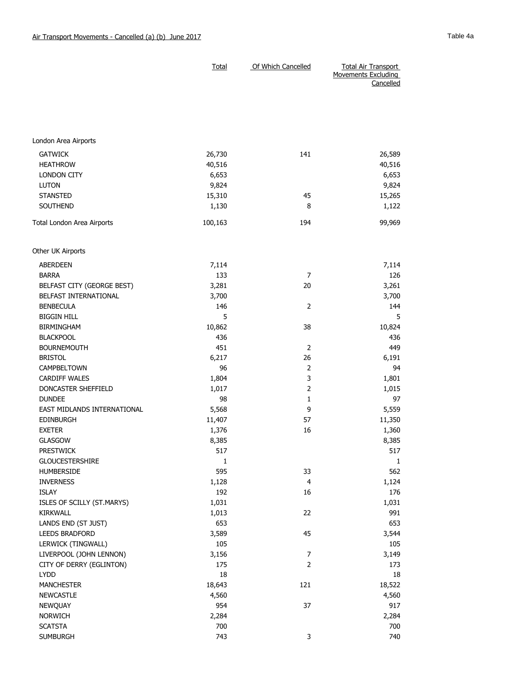|                                  | Total           | Of Which Cancelled | <b>Total Air Transport</b><br>Movements Excluding<br>Cancelled |
|----------------------------------|-----------------|--------------------|----------------------------------------------------------------|
|                                  |                 |                    |                                                                |
|                                  |                 |                    |                                                                |
| London Area Airports             |                 |                    |                                                                |
| <b>GATWICK</b>                   | 26,730          | 141                | 26,589                                                         |
| <b>HEATHROW</b>                  | 40,516          |                    | 40,516                                                         |
| <b>LONDON CITY</b>               | 6,653           |                    | 6,653                                                          |
| <b>LUTON</b>                     | 9,824           |                    | 9,824                                                          |
| <b>STANSTED</b>                  | 15,310          | 45                 | 15,265                                                         |
| SOUTHEND                         | 1,130           | 8                  | 1,122                                                          |
| Total London Area Airports       | 100,163         | 194                | 99,969                                                         |
| Other UK Airports                |                 |                    |                                                                |
| ABERDEEN                         | 7,114           |                    | 7,114                                                          |
| <b>BARRA</b>                     | 133             | $\overline{7}$     | 126                                                            |
| BELFAST CITY (GEORGE BEST)       | 3,281           | 20                 | 3,261                                                          |
| BELFAST INTERNATIONAL            | 3,700           |                    | 3,700                                                          |
| <b>BENBECULA</b>                 | 146             | $\overline{2}$     | 144                                                            |
| <b>BIGGIN HILL</b>               | 5               |                    | 5                                                              |
| BIRMINGHAM                       | 10,862          | 38                 | 10,824                                                         |
| <b>BLACKPOOL</b>                 | 436             |                    | 436                                                            |
| <b>BOURNEMOUTH</b>               | 451             | 2                  | 449                                                            |
| <b>BRISTOL</b>                   | 6,217           | 26                 | 6,191                                                          |
| CAMPBELTOWN                      | 96              | 2                  | 94                                                             |
| <b>CARDIFF WALES</b>             | 1,804           | 3                  | 1,801                                                          |
| DONCASTER SHEFFIELD              | 1,017           | $\overline{2}$     | 1,015                                                          |
| <b>DUNDEE</b>                    | 98              | 1                  | 97                                                             |
| EAST MIDLANDS INTERNATIONAL      | 5,568           | 9                  | 5,559                                                          |
| <b>EDINBURGH</b>                 | 11,407          | 57                 | 11,350                                                         |
| <b>EXETER</b>                    | 1,376           | 16                 | 1,360                                                          |
| <b>GLASGOW</b>                   | 8,385           |                    | 8,385                                                          |
| <b>PRESTWICK</b>                 | 517             |                    | 517                                                            |
| <b>GLOUCESTERSHIRE</b>           | $\mathbf{1}$    |                    | $\mathbf{1}$                                                   |
| HUMBERSIDE                       | 595             | 33                 | 562                                                            |
| <b>INVERNESS</b>                 | 1,128           | 4                  | 1,124                                                          |
| <b>ISLAY</b>                     | 192             | 16                 | 176                                                            |
| ISLES OF SCILLY (ST.MARYS)       | 1,031           |                    | 1,031                                                          |
| KIRKWALL                         | 1,013           | 22                 | 991                                                            |
| LANDS END (ST JUST)              | 653             |                    | 653                                                            |
| LEEDS BRADFORD                   | 3,589           | 45                 | 3,544                                                          |
| LERWICK (TINGWALL)               | 105             |                    | 105                                                            |
| LIVERPOOL (JOHN LENNON)          | 3,156           | $\boldsymbol{7}$   | 3,149                                                          |
| CITY OF DERRY (EGLINTON)<br>LYDD | 175<br>18       | $\overline{2}$     | 173<br>18                                                      |
|                                  |                 |                    |                                                                |
| <b>MANCHESTER</b>                | 18,643<br>4,560 | 121                | 18,522                                                         |
| <b>NEWCASTLE</b><br>NEWQUAY      | 954             | 37                 | 4,560<br>917                                                   |
| <b>NORWICH</b>                   | 2,284           |                    | 2,284                                                          |
| <b>SCATSTA</b>                   | 700             |                    | 700                                                            |
| <b>SUMBURGH</b>                  | 743             | 3                  | 740                                                            |
|                                  |                 |                    |                                                                |